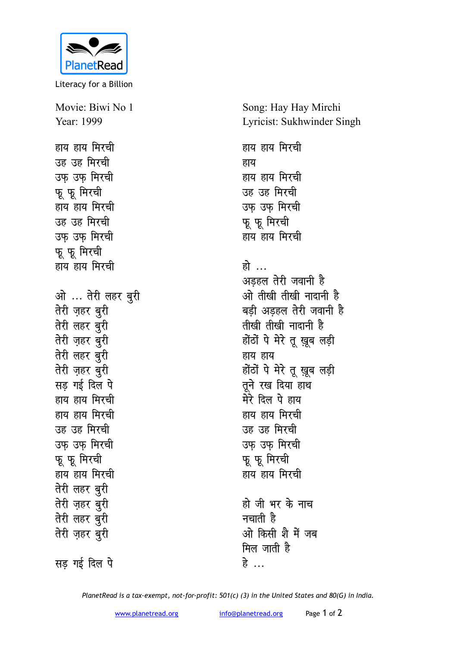

Literacy for a Billion

Movie: Biwi No 1 Year: 1999 हाय हाय मिरची उह उह मिरची उफ उफ मिरची फू फू मिरची हाय हाय मिरची उह उह मिरची उफ उफ मिरची फू फू मिरची हाय हाय मिरची ओ ... तेरी लहर बुरी **तेरी** ज़हर बुरी **तेरी** लहर बुरी **तेरी ज़हर बुरी तेरी लहर बुरी तेरी** ज़हर बुरी **सड गई दिल पे** हाय हाय मिरची हाय हाय मिरची उह उह मिरची उफ उफ मिरची फू फू मिरची हाय हाय **मिरची तेरी लहर बुरी तेरी जुहर बुरी तेरी** लहर बुरी **तेरी ज़हर बुरी** 

**सड गई दिल पे** 

Song: Hay Hay Mirchi Lyricist: Sukhwinder Singh

हाय हाय मिरची हाय हाय हाय **मिरची** उह उह मिरची उफ उफ मिरची **फू** फू मिरची हाय हाय मिरची

हो … अडहल तेरी जवानी है <u>ओ तीखी तीखी नादानी है</u> बड़ी अडहल तेरी जवानी है **rh[kh rh[kh uknkuh gS** होंठों पे मेरे तू ख़ूब लड़ी हाय हाय होंठों पे मेरे तू ख़ूब लड़ी **तुने रख दिया हाथ** मेरे दिल पे हाय हाय हाय **मिरची** उह उह मिरची उफ उफ मिरची फू फू मिरची हाय हाय मिरची

हो जी भर के नाच नचाती है <u>ओ किसी शै में जब</u> **मिल जाती है** हे<br>ट

*PlanetRead is a tax-exempt, not-for-profit: 501(c) (3) in the United States and 80(G) in India.*